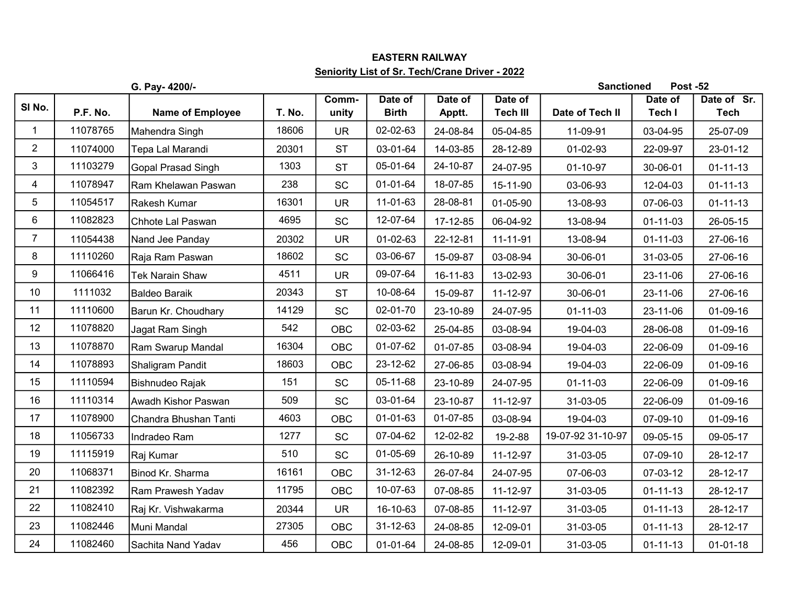## EASTERN RAILWAY Seniority List of Sr. Tech/Crane Driver - 2022

|                |          | G. Pay- 4200/-          |        |                |                         |                   |                            | <b>Sanctioned</b> | <b>Post -52</b>   |                            |
|----------------|----------|-------------------------|--------|----------------|-------------------------|-------------------|----------------------------|-------------------|-------------------|----------------------------|
| SI No.         | P.F. No. | <b>Name of Employee</b> | T. No. | Comm-<br>unity | Date of<br><b>Birth</b> | Date of<br>Apptt. | Date of<br><b>Tech III</b> | Date of Tech II   | Date of<br>Tech I | Date of Sr.<br><b>Tech</b> |
| $\mathbf{1}$   | 11078765 | Mahendra Singh          | 18606  | <b>UR</b>      | 02-02-63                | 24-08-84          | 05-04-85                   | 11-09-91          | 03-04-95          | 25-07-09                   |
| $\overline{c}$ | 11074000 | Tepa Lal Marandi        | 20301  | <b>ST</b>      | 03-01-64                | 14-03-85          | 28-12-89                   | 01-02-93          | 22-09-97          | 23-01-12                   |
| 3              | 11103279 | Gopal Prasad Singh      | 1303   | <b>ST</b>      | 05-01-64                | 24-10-87          | 24-07-95                   | 01-10-97          | 30-06-01          | $01 - 11 - 13$             |
| $\overline{4}$ | 11078947 | Ram Khelawan Paswan     | 238    | SC             | 01-01-64                | 18-07-85          | 15-11-90                   | 03-06-93          | 12-04-03          | $01 - 11 - 13$             |
| 5              | 11054517 | Rakesh Kumar            | 16301  | <b>UR</b>      | 11-01-63                | 28-08-81          | 01-05-90                   | 13-08-93          | 07-06-03          | $01 - 11 - 13$             |
| 6              | 11082823 | Chhote Lal Paswan       | 4695   | <b>SC</b>      | 12-07-64                | 17-12-85          | 06-04-92                   | 13-08-94          | $01 - 11 - 03$    | 26-05-15                   |
| $\overline{7}$ | 11054438 | Nand Jee Panday         | 20302  | <b>UR</b>      | 01-02-63                | 22-12-81          | 11-11-91                   | 13-08-94          | $01 - 11 - 03$    | 27-06-16                   |
| 8              | 11110260 | Raja Ram Paswan         | 18602  | SC             | 03-06-67                | 15-09-87          | 03-08-94                   | 30-06-01          | 31-03-05          | 27-06-16                   |
| 9              | 11066416 | Tek Narain Shaw         | 4511   | <b>UR</b>      | 09-07-64                | 16-11-83          | 13-02-93                   | 30-06-01          | 23-11-06          | 27-06-16                   |
| 10             | 1111032  | Baldeo Baraik           | 20343  | <b>ST</b>      | 10-08-64                | 15-09-87          | 11-12-97                   | 30-06-01          | 23-11-06          | 27-06-16                   |
| 11             | 11110600 | Barun Kr. Choudhary     | 14129  | <b>SC</b>      | 02-01-70                | 23-10-89          | 24-07-95                   | $01 - 11 - 03$    | 23-11-06          | 01-09-16                   |
| 12             | 11078820 | Jagat Ram Singh         | 542    | OBC            | 02-03-62                | 25-04-85          | 03-08-94                   | 19-04-03          | 28-06-08          | 01-09-16                   |
| 13             | 11078870 | Ram Swarup Mandal       | 16304  | <b>OBC</b>     | 01-07-62                | 01-07-85          | 03-08-94                   | 19-04-03          | 22-06-09          | 01-09-16                   |
| 14             | 11078893 | Shaligram Pandit        | 18603  | <b>OBC</b>     | 23-12-62                | 27-06-85          | 03-08-94                   | 19-04-03          | 22-06-09          | 01-09-16                   |
| 15             | 11110594 | Bishnudeo Rajak         | 151    | SC             | 05-11-68                | 23-10-89          | 24-07-95                   | $01 - 11 - 03$    | 22-06-09          | 01-09-16                   |
| 16             | 11110314 | Awadh Kishor Paswan     | 509    | SC             | 03-01-64                | 23-10-87          | 11-12-97                   | 31-03-05          | 22-06-09          | 01-09-16                   |
| 17             | 11078900 | Chandra Bhushan Tanti   | 4603   | <b>OBC</b>     | 01-01-63                | 01-07-85          | 03-08-94                   | 19-04-03          | 07-09-10          | $01-09-16$                 |
| 18             | 11056733 | Indradeo Ram            | 1277   | SC             | 07-04-62                | 12-02-82          | 19-2-88                    | 19-07-92 31-10-97 | 09-05-15          | 09-05-17                   |
| 19             | 11115919 | Raj Kumar               | 510    | SC             | 01-05-69                | 26-10-89          | 11-12-97                   | 31-03-05          | 07-09-10          | 28-12-17                   |
| 20             | 11068371 | Binod Kr. Sharma        | 16161  | <b>OBC</b>     | $31 - 12 - 63$          | 26-07-84          | 24-07-95                   | 07-06-03          | 07-03-12          | 28-12-17                   |
| 21             | 11082392 | Ram Prawesh Yadav       | 11795  | <b>OBC</b>     | 10-07-63                | 07-08-85          | 11-12-97                   | 31-03-05          | $01 - 11 - 13$    | 28-12-17                   |
| 22             | 11082410 | Raj Kr. Vishwakarma     | 20344  | <b>UR</b>      | 16-10-63                | 07-08-85          | 11-12-97                   | 31-03-05          | $01 - 11 - 13$    | 28-12-17                   |
| 23             | 11082446 | Muni Mandal             | 27305  | <b>OBC</b>     | 31-12-63                | 24-08-85          | 12-09-01                   | 31-03-05          | $01 - 11 - 13$    | 28-12-17                   |
| 24             | 11082460 | Sachita Nand Yadav      | 456    | OBC            | 01-01-64                | 24-08-85          | 12-09-01                   | 31-03-05          | $01 - 11 - 13$    | $01 - 01 - 18$             |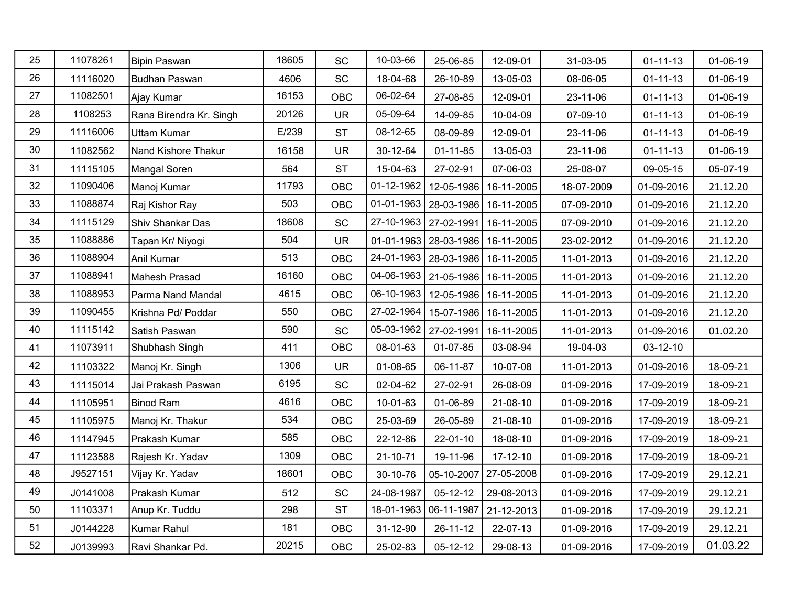| 25 | 11078261 | Bipin Paswan            | 18605 | SC                           | 10-03-66                | 25-06-85                             | 12-09-01       | 31-03-05   | $01 - 11 - 13$ | 01-06-19 |
|----|----------|-------------------------|-------|------------------------------|-------------------------|--------------------------------------|----------------|------------|----------------|----------|
| 26 | 11116020 | Budhan Paswan           | 4606  | SC                           | 18-04-68                | 26-10-89                             | 13-05-03       | 08-06-05   | $01 - 11 - 13$ | 01-06-19 |
| 27 | 11082501 | Ajay Kumar              | 16153 | OBC                          | 06-02-64                | 27-08-85                             | 12-09-01       | 23-11-06   | $01 - 11 - 13$ | 01-06-19 |
| 28 | 1108253  | Rana Birendra Kr. Singh | 20126 | <b>UR</b>                    | 05-09-64                | 14-09-85                             | 10-04-09       | 07-09-10   | $01 - 11 - 13$ | 01-06-19 |
| 29 | 11116006 | <b>Uttam Kumar</b>      | E/239 | <b>ST</b>                    | 08-12-65                | 08-09-89                             | 12-09-01       | 23-11-06   | $01 - 11 - 13$ | 01-06-19 |
| 30 | 11082562 | Nand Kishore Thakur     | 16158 | <b>UR</b>                    | 30-12-64                | $01 - 11 - 85$                       | 13-05-03       | 23-11-06   | $01 - 11 - 13$ | 01-06-19 |
| 31 | 11115105 | Mangal Soren            | 564   | <b>ST</b>                    | 15-04-63                | 27-02-91                             | 07-06-03       | 25-08-07   | 09-05-15       | 05-07-19 |
| 32 | 11090406 | Manoj Kumar             | 11793 | <b>OBC</b>                   | $01 - 12 - 1962$        | 12-05-1986                           | 16-11-2005     | 18-07-2009 | 01-09-2016     | 21.12.20 |
| 33 | 11088874 | Raj Kishor Ray          | 503   | OBC                          |                         | 01-01-1963   28-03-1986   16-11-2005 |                | 07-09-2010 | 01-09-2016     | 21.12.20 |
| 34 | 11115129 | Shiv Shankar Das        | 18608 | SC                           | 27-10-1963   27-02-1991 |                                      | 16-11-2005     | 07-09-2010 | 01-09-2016     | 21.12.20 |
| 35 | 11088886 | Tapan Kr/ Niyogi        | 504   | <b>UR</b>                    |                         | 01-01-1963   28-03-1986              | 16-11-2005     | 23-02-2012 | 01-09-2016     | 21.12.20 |
| 36 | 11088904 | Anil Kumar              | 513   | OBC                          |                         | 24-01-1963   28-03-1986   16-11-2005 |                | 11-01-2013 | 01-09-2016     | 21.12.20 |
| 37 | 11088941 | Mahesh Prasad           | 16160 | OBC                          |                         | 04-06-1963   21-05-1986              | 16-11-2005     | 11-01-2013 | 01-09-2016     | 21.12.20 |
| 38 | 11088953 | Parma Nand Mandal       | 4615  | <b>OBC</b>                   |                         | 06-10-1963   12-05-1986   16-11-2005 |                | 11-01-2013 | 01-09-2016     | 21.12.20 |
| 39 | 11090455 | Krishna Pd/ Poddar      | 550   | OBC                          |                         | 27-02-1964   15-07-1986   16-11-2005 |                | 11-01-2013 | 01-09-2016     | 21.12.20 |
| 40 | 11115142 | Satish Paswan           | 590   | SC                           | 05-03-1962   27-02-1991 |                                      | 16-11-2005     | 11-01-2013 | 01-09-2016     | 01.02.20 |
| 41 | 11073911 | Shubhash Singh          | 411   | <b>OBC</b>                   | 08-01-63                | 01-07-85                             | 03-08-94       | 19-04-03   | 03-12-10       |          |
| 42 | 11103322 | Manoj Kr. Singh         | 1306  | <b>UR</b>                    | 01-08-65                | 06-11-87                             | 10-07-08       | 11-01-2013 | 01-09-2016     | 18-09-21 |
| 43 | 11115014 | Jai Prakash Paswan      | 6195  | $\operatorname{\textsf{SC}}$ | 02-04-62                | 27-02-91                             | 26-08-09       | 01-09-2016 | 17-09-2019     | 18-09-21 |
| 44 | 11105951 | Binod Ram               | 4616  | OBC                          | 10-01-63                | 01-06-89                             | 21-08-10       | 01-09-2016 | 17-09-2019     | 18-09-21 |
| 45 | 11105975 | Manoj Kr. Thakur        | 534   | <b>OBC</b>                   | 25-03-69                | 26-05-89                             | 21-08-10       | 01-09-2016 | 17-09-2019     | 18-09-21 |
| 46 | 11147945 | Prakash Kumar           | 585   | OBC                          | 22-12-86                | 22-01-10                             | 18-08-10       | 01-09-2016 | 17-09-2019     | 18-09-21 |
| 47 | 11123588 | Rajesh Kr. Yadav        | 1309  | OBC                          | 21-10-71                | 19-11-96                             | $17 - 12 - 10$ | 01-09-2016 | 17-09-2019     | 18-09-21 |
| 48 | J9527151 | Vijay Kr. Yadav         | 18601 | <b>OBC</b>                   | 30-10-76                | 05-10-2007                           | 27-05-2008     | 01-09-2016 | 17-09-2019     | 29.12.21 |
| 49 | J0141008 | Prakash Kumar           | 512   | SC                           | 24-08-1987              | $05-12-12$                           | 29-08-2013     | 01-09-2016 | 17-09-2019     | 29.12.21 |
| 50 | 11103371 | Anup Kr. Tuddu          | 298   | <b>ST</b>                    | 18-01-1963              | 06-11-1987                           | 21-12-2013     | 01-09-2016 | 17-09-2019     | 29.12.21 |
| 51 | J0144228 | Kumar Rahul             | 181   | <b>OBC</b>                   | 31-12-90                | 26-11-12                             | 22-07-13       | 01-09-2016 | 17-09-2019     | 29.12.21 |
| 52 | J0139993 | Ravi Shankar Pd.        | 20215 | <b>OBC</b>                   | 25-02-83                | 05-12-12                             | 29-08-13       | 01-09-2016 | 17-09-2019     | 01.03.22 |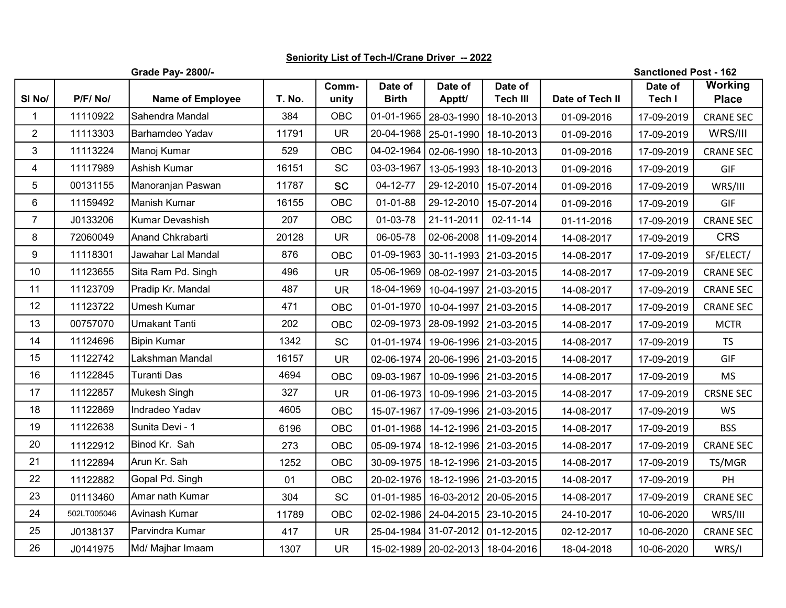## Seniority List of Tech-I/Crane Driver -- 2022

|  | <b>Grade Pav- 2800/-</b> |  |
|--|--------------------------|--|

**Sanctioned Post - 162** 

| SI No/           | P/F/No/     | <b>Name of Employee</b> | T. No. | Comm-<br>unity | Date of<br><b>Birth</b> | Date of<br>Apptt/                    | Date of<br><b>Tech III</b> | Date of Tech II | Date of<br>Tech I | <b>Working</b><br><b>Place</b> |
|------------------|-------------|-------------------------|--------|----------------|-------------------------|--------------------------------------|----------------------------|-----------------|-------------------|--------------------------------|
| $\mathbf{1}$     | 11110922    | Sahendra Mandal         | 384    | OBC            | 01-01-1965              | 28-03-1990                           | 18-10-2013                 | 01-09-2016      | 17-09-2019        | <b>CRANE SEC</b>               |
| $\overline{2}$   | 11113303    | Barhamdeo Yadav         | 11791  | <b>UR</b>      | 20-04-1968              |                                      | 25-01-1990 18-10-2013      | 01-09-2016      | 17-09-2019        | WRS/III                        |
| 3                | 11113224    | Manoj Kumar             | 529    | <b>OBC</b>     | $04 - 02 - 1964$        |                                      | 02-06-1990 18-10-2013      | 01-09-2016      | 17-09-2019        | <b>CRANE SEC</b>               |
| 4                | 11117989    | Ashish Kumar            | 16151  | <b>SC</b>      | 03-03-1967              |                                      | 13-05-1993   18-10-2013    | 01-09-2016      | 17-09-2019        | GIF                            |
| 5                | 00131155    | Manoranjan Paswan       | 11787  | <b>SC</b>      | 04-12-77                |                                      | 29-12-2010   15-07-2014    | 01-09-2016      | 17-09-2019        | WRS/III                        |
| 6                | 11159492    | Manish Kumar            | 16155  | <b>OBC</b>     | $01 - 01 - 88$          | 29-12-2010                           | 15-07-2014                 | 01-09-2016      | 17-09-2019        | GIF                            |
| $\overline{7}$   | J0133206    | Kumar Devashish         | 207    | OBC            | 01-03-78                | 21-11-2011                           | $02 - 11 - 14$             | 01-11-2016      | 17-09-2019        | <b>CRANE SEC</b>               |
| 8                | 72060049    | Anand Chkrabarti        | 20128  | <b>UR</b>      | 06-05-78                |                                      | 02-06-2008   11-09-2014    | 14-08-2017      | 17-09-2019        | <b>CRS</b>                     |
| $\boldsymbol{9}$ | 11118301    | Jawahar Lal Mandal      | 876    | <b>OBC</b>     | 01-09-1963              |                                      | 30-11-1993 21-03-2015      | 14-08-2017      | 17-09-2019        | SF/ELECT/                      |
| 10               | 11123655    | Sita Ram Pd. Singh      | 496    | <b>UR</b>      | 05-06-1969              |                                      | 08-02-1997 21-03-2015      | 14-08-2017      | 17-09-2019        | <b>CRANE SEC</b>               |
| 11               | 11123709    | Pradip Kr. Mandal       | 487    | <b>UR</b>      | 18-04-1969              |                                      | 10-04-1997   21-03-2015    | 14-08-2017      | 17-09-2019        | <b>CRANE SEC</b>               |
| 12               | 11123722    | <b>Umesh Kumar</b>      | 471    | <b>OBC</b>     | 01-01-1970              |                                      | 10-04-1997 21-03-2015      | 14-08-2017      | 17-09-2019        | <b>CRANE SEC</b>               |
| 13               | 00757070    | Umakant Tanti           | 202    | OBC            | $02 - 09 - 1973$        |                                      | 28-09-1992   21-03-2015    | 14-08-2017      | 17-09-2019        | <b>MCTR</b>                    |
| 14               | 11124696    | Bipin Kumar             | 1342   | SC             | $01 - 01 - 1974$        |                                      | 19-06-1996 21-03-2015      | 14-08-2017      | 17-09-2019        | <b>TS</b>                      |
| 15               | 11122742    | Lakshman Mandal         | 16157  | <b>UR</b>      | $02 - 06 - 1974$        |                                      | 20-06-1996   21-03-2015    | 14-08-2017      | 17-09-2019        | GIF                            |
| 16               | 11122845    | Turanti Das             | 4694   | OBC            | 09-03-1967              |                                      | 10-09-1996   21-03-2015    | 14-08-2017      | 17-09-2019        | <b>MS</b>                      |
| 17               | 11122857    | Mukesh Singh            | 327    | <b>UR</b>      | $01 - 06 - 1973$        |                                      | 10-09-1996 21-03-2015      | 14-08-2017      | 17-09-2019        | <b>CRSNE SEC</b>               |
| 18               | 11122869    | Indradeo Yadav          | 4605   | <b>OBC</b>     | 15-07-1967              |                                      | 17-09-1996 21-03-2015      | 14-08-2017      | 17-09-2019        | <b>WS</b>                      |
| 19               | 11122638    | Sunita Devi - 1         | 6196   | OBC            | 01-01-1968              |                                      | 14-12-1996 21-03-2015      | 14-08-2017      | 17-09-2019        | <b>BSS</b>                     |
| 20               | 11122912    | Binod Kr. Sah           | 273    | <b>OBC</b>     | 05-09-1974              |                                      | 18-12-1996 21-03-2015      | 14-08-2017      | 17-09-2019        | <b>CRANE SEC</b>               |
| 21               | 11122894    | Arun Kr. Sah            | 1252   | OBC            | 30-09-1975              |                                      | 18-12-1996   21-03-2015    | 14-08-2017      | 17-09-2019        | TS/MGR                         |
| 22               | 11122882    | Gopal Pd. Singh         | 01     | OBC            | 20-02-1976              |                                      | 18-12-1996 21-03-2015      | 14-08-2017      | 17-09-2019        | PH                             |
| 23               | 01113460    | Amar nath Kumar         | 304    | SC             | 01-01-1985              |                                      | 16-03-2012   20-05-2015    | 14-08-2017      | 17-09-2019        | <b>CRANE SEC</b>               |
| 24               | 502LT005046 | Avinash Kumar           | 11789  | <b>OBC</b>     | 02-02-1986              |                                      | 24-04-2015   23-10-2015    | 24-10-2017      | 10-06-2020        | WRS/III                        |
| 25               | J0138137    | Parvindra Kumar         | 417    | <b>UR</b>      |                         | 25-04-1984 31-07-2012 01-12-2015     |                            | 02-12-2017      | 10-06-2020        | <b>CRANE SEC</b>               |
| 26               | J0141975    | Md/ Majhar Imaam        | 1307   | <b>UR</b>      |                         | 15-02-1989   20-02-2013   18-04-2016 |                            | 18-04-2018      | 10-06-2020        | WRS/I                          |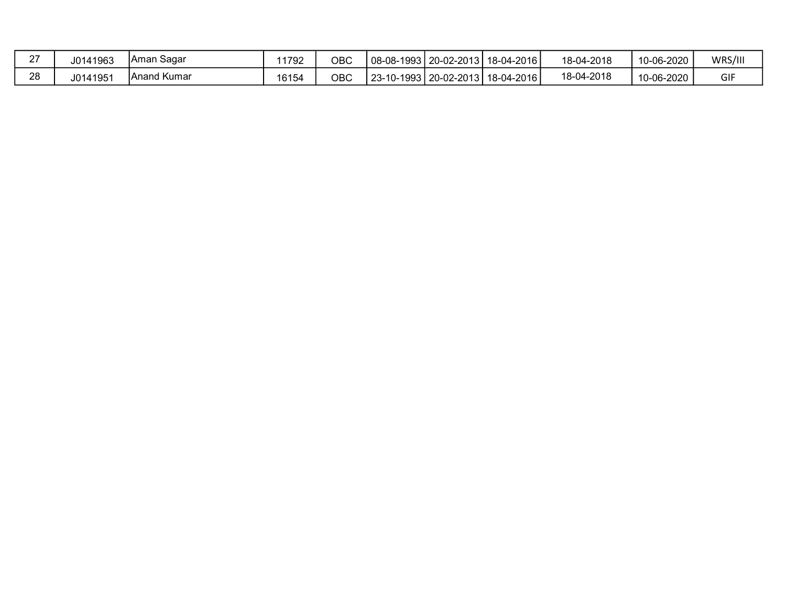| $\sim$<br>- | J0141963 | TAman Sagar | 11792 | ОВС | l 08-08-1993   20-02-2013 | 18-04-2016 | 18-04-2018 | 10-06-2020 | WRS/III |
|-------------|----------|-------------|-------|-----|---------------------------|------------|------------|------------|---------|
| റഠ          | J0141951 | Anand Kumar | 16154 | ОВС | l 23-10-1993   20-02-2013 | 18-04-2016 | 18-04-2018 | 10-06-2020 | GIF     |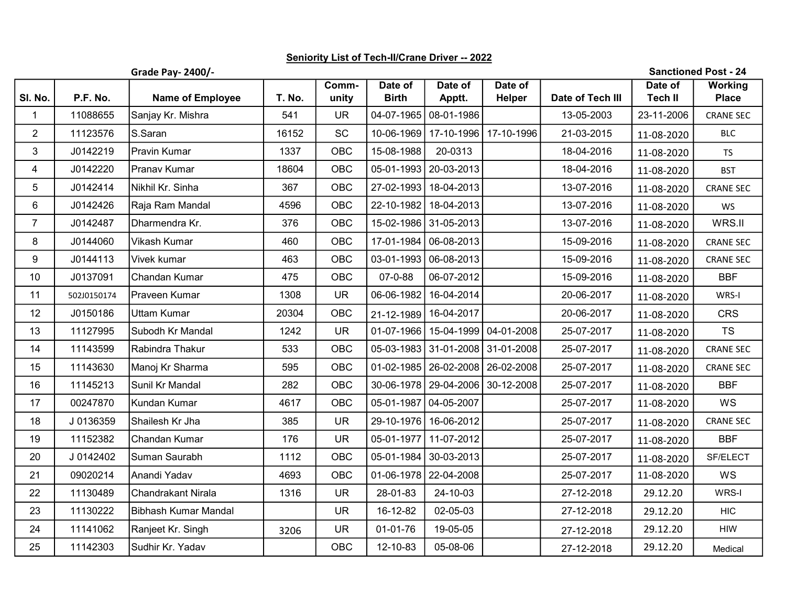## Seniority List of Tech-II/Crane Driver -- 2022

Grade Pay- 2400/-

Sanctioned Post - 24

|                |             |                         |        | Comm-      | Date of          | Date of                 | Date of                              |                  | Date of        | <b>Working</b>   |
|----------------|-------------|-------------------------|--------|------------|------------------|-------------------------|--------------------------------------|------------------|----------------|------------------|
| SI. No.        | P.F. No.    | <b>Name of Employee</b> | T. No. | unity      | <b>Birth</b>     | Apptt.                  | Helper                               | Date of Tech III | <b>Tech II</b> | <b>Place</b>     |
| $\mathbf{1}$   | 11088655    | Sanjay Kr. Mishra       | 541    | <b>UR</b>  |                  | 04-07-1965 08-01-1986   |                                      | 13-05-2003       | 23-11-2006     | <b>CRANE SEC</b> |
| $\overline{2}$ | 11123576    | S.Saran                 | 16152  | <b>SC</b>  | 10-06-1969       | 17-10-1996              | 17-10-1996                           | 21-03-2015       | 11-08-2020     | <b>BLC</b>       |
| 3              | J0142219    | Pravin Kumar            | 1337   | OBC        | 15-08-1988       | 20-0313                 |                                      | 18-04-2016       | 11-08-2020     | <b>TS</b>        |
| 4              | J0142220    | Pranav Kumar            | 18604  | OBC        |                  | 05-01-1993   20-03-2013 |                                      | 18-04-2016       | 11-08-2020     | <b>BST</b>       |
| 5              | J0142414    | Nikhil Kr. Sinha        | 367    | OBC        |                  | 27-02-1993   18-04-2013 |                                      | 13-07-2016       | 11-08-2020     | <b>CRANE SEC</b> |
| 6              | J0142426    | Raja Ram Mandal         | 4596   | OBC        |                  | 22-10-1982 18-04-2013   |                                      | 13-07-2016       | 11-08-2020     | WS               |
| $\overline{7}$ | J0142487    | Dharmendra Kr.          | 376    | OBC        | 15-02-1986       | 31-05-2013              |                                      | 13-07-2016       | 11-08-2020     | WRS.II           |
| 8              | J0144060    | Vikash Kumar            | 460    | OBC        | 17-01-1984       | 06-08-2013              |                                      | 15-09-2016       | 11-08-2020     | <b>CRANE SEC</b> |
| 9              | J0144113    | Vivek kumar             | 463    | OBC        | $03 - 01 - 1993$ | 06-08-2013              |                                      | 15-09-2016       | 11-08-2020     | <b>CRANE SEC</b> |
| 10             | J0137091    | Chandan Kumar           | 475    | OBC        | 07-0-88          | 06-07-2012              |                                      | 15-09-2016       | 11-08-2020     | <b>BBF</b>       |
| 11             | 502J0150174 | Praveen Kumar           | 1308   | <b>UR</b>  | 06-06-1982       | 16-04-2014              |                                      | 20-06-2017       | 11-08-2020     | WRS-I            |
| 12             | J0150186    | Uttam Kumar             | 20304  | OBC        | 21-12-1989       | 16-04-2017              |                                      | 20-06-2017       | 11-08-2020     | <b>CRS</b>       |
| 13             | 11127995    | Subodh Kr Mandal        | 1242   | <b>UR</b>  |                  |                         | 01-07-1966   15-04-1999   04-01-2008 | 25-07-2017       | 11-08-2020     | <b>TS</b>        |
| 14             | 11143599    | Rabindra Thakur         | 533    | OBC        |                  | 05-03-1983 31-01-2008   | 31-01-2008                           | 25-07-2017       | 11-08-2020     | <b>CRANE SEC</b> |
| 15             | 11143630    | Manoj Kr Sharma         | 595    | OBC        |                  |                         | 01-02-1985   26-02-2008   26-02-2008 | 25-07-2017       | 11-08-2020     | <b>CRANE SEC</b> |
| 16             | 11145213    | Sunil Kr Mandal         | 282    | OBC        |                  |                         | 30-06-1978   29-04-2006   30-12-2008 | 25-07-2017       | 11-08-2020     | <b>BBF</b>       |
| 17             | 00247870    | Kundan Kumar            | 4617   | OBC        | 05-01-1987       | 04-05-2007              |                                      | 25-07-2017       | 11-08-2020     | WS               |
| 18             | J0136359    | Shailesh Kr Jha         | 385    | <b>UR</b>  | 29-10-1976       | 16-06-2012              |                                      | 25-07-2017       | 11-08-2020     | <b>CRANE SEC</b> |
| 19             | 11152382    | Chandan Kumar           | 176    | <b>UR</b>  | 05-01-1977       | 11-07-2012              |                                      | 25-07-2017       | 11-08-2020     | <b>BBF</b>       |
| 20             | J 0142402   | Suman Saurabh           | 1112   | OBC        |                  | 05-01-1984 30-03-2013   |                                      | 25-07-2017       | 11-08-2020     | SF/ELECT         |
| 21             | 09020214    | Anandi Yadav            | 4693   | OBC        | 01-06-1978       | 22-04-2008              |                                      | 25-07-2017       | 11-08-2020     | WS               |
| 22             | 11130489    | Chandrakant Nirala      | 1316   | <b>UR</b>  | 28-01-83         | 24-10-03                |                                      | 27-12-2018       | 29.12.20       | WRS-I            |
| 23             | 11130222    | Bibhash Kumar Mandal    |        | <b>UR</b>  | 16-12-82         | 02-05-03                |                                      | 27-12-2018       | 29.12.20       | <b>HIC</b>       |
| 24             | 11141062    | Ranjeet Kr. Singh       | 3206   | <b>UR</b>  | 01-01-76         | 19-05-05                |                                      | 27-12-2018       | 29.12.20       | HIW              |
| 25             | 11142303    | Sudhir Kr. Yadav        |        | <b>OBC</b> | 12-10-83         | 05-08-06                |                                      | 27-12-2018       | 29.12.20       | Medical          |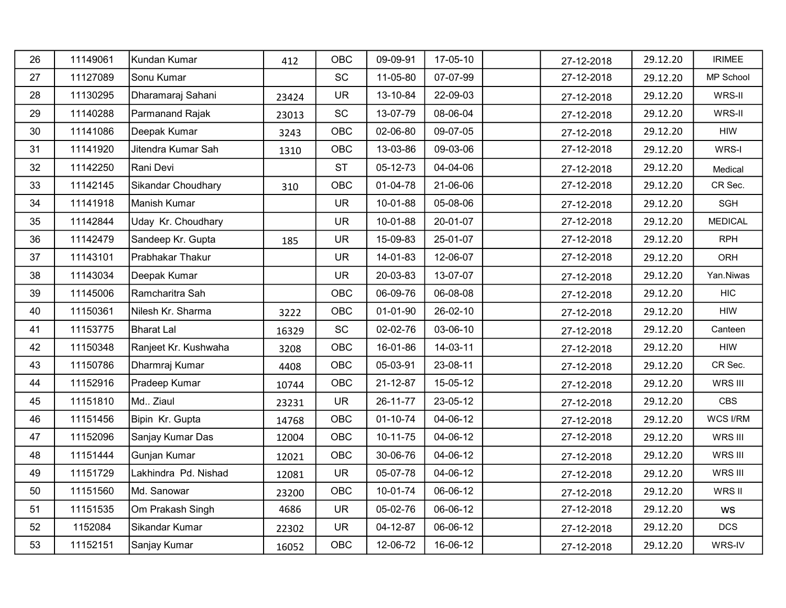| 26     | 11149061 | Kundan Kumar         | 412   | <b>OBC</b> | 09-09-91       | 17-05-10 | 27-12-2018 | 29.12.20 | <b>IRIMEE</b>  |
|--------|----------|----------------------|-------|------------|----------------|----------|------------|----------|----------------|
| 27     | 11127089 | Sonu Kumar           |       | <b>SC</b>  | 11-05-80       | 07-07-99 | 27-12-2018 | 29.12.20 | MP School      |
| 28     | 11130295 | Dharamaraj Sahani    | 23424 | <b>UR</b>  | 13-10-84       | 22-09-03 | 27-12-2018 | 29.12.20 | WRS-II         |
| 29     | 11140288 | Parmanand Rajak      | 23013 | SC         | 13-07-79       | 08-06-04 | 27-12-2018 | 29.12.20 | WRS-II         |
| $30\,$ | 11141086 | Deepak Kumar         | 3243  | <b>OBC</b> | 02-06-80       | 09-07-05 | 27-12-2018 | 29.12.20 | <b>HIW</b>     |
| 31     | 11141920 | Jitendra Kumar Sah   | 1310  | OBC        | 13-03-86       | 09-03-06 | 27-12-2018 | 29.12.20 | WRS-I          |
| 32     | 11142250 | Rani Devi            |       | <b>ST</b>  | 05-12-73       | 04-04-06 | 27-12-2018 | 29.12.20 | Medical        |
| 33     | 11142145 | Sikandar Choudhary   | 310   | OBC        | 01-04-78       | 21-06-06 | 27-12-2018 | 29.12.20 | CR Sec.        |
| 34     | 11141918 | Manish Kumar         |       | <b>UR</b>  | 10-01-88       | 05-08-06 | 27-12-2018 | 29.12.20 | SGH            |
| 35     | 11142844 | Uday Kr. Choudhary   |       | <b>UR</b>  | 10-01-88       | 20-01-07 | 27-12-2018 | 29.12.20 | <b>MEDICAL</b> |
| 36     | 11142479 | Sandeep Kr. Gupta    | 185   | <b>UR</b>  | 15-09-83       | 25-01-07 | 27-12-2018 | 29.12.20 | <b>RPH</b>     |
| 37     | 11143101 | Prabhakar Thakur     |       | <b>UR</b>  | 14-01-83       | 12-06-07 | 27-12-2018 | 29.12.20 | ORH            |
| 38     | 11143034 | Deepak Kumar         |       | <b>UR</b>  | 20-03-83       | 13-07-07 | 27-12-2018 | 29.12.20 | Yan.Niwas      |
| 39     | 11145006 | Ramcharitra Sah      |       | <b>OBC</b> | 06-09-76       | 06-08-08 | 27-12-2018 | 29.12.20 | <b>HIC</b>     |
| 40     | 11150361 | Nilesh Kr. Sharma    | 3222  | OBC        | 01-01-90       | 26-02-10 | 27-12-2018 | 29.12.20 | <b>HIW</b>     |
| 41     | 11153775 | Bharat Lal           | 16329 | <b>SC</b>  | 02-02-76       | 03-06-10 | 27-12-2018 | 29.12.20 | Canteen        |
| 42     | 11150348 | Ranjeet Kr. Kushwaha | 3208  | OBC        | 16-01-86       | 14-03-11 | 27-12-2018 | 29.12.20 | <b>HIW</b>     |
| 43     | 11150786 | Dharmraj Kumar       | 4408  | OBC        | 05-03-91       | 23-08-11 | 27-12-2018 | 29.12.20 | CR Sec.        |
| 44     | 11152916 | Pradeep Kumar        | 10744 | <b>OBC</b> | 21-12-87       | 15-05-12 | 27-12-2018 | 29.12.20 | WRS III        |
| 45     | 11151810 | Md Ziaul             | 23231 | <b>UR</b>  | 26-11-77       | 23-05-12 | 27-12-2018 | 29.12.20 | CBS            |
| 46     | 11151456 | Bipin Kr. Gupta      | 14768 | OBC        | $01 - 10 - 74$ | 04-06-12 | 27-12-2018 | 29.12.20 | WCS I/RM       |
| 47     | 11152096 | Sanjay Kumar Das     | 12004 | OBC        | $10 - 11 - 75$ | 04-06-12 | 27-12-2018 | 29.12.20 | WRS III        |
| 48     | 11151444 | Gunjan Kumar         | 12021 | OBC        | 30-06-76       | 04-06-12 | 27-12-2018 | 29.12.20 | WRS III        |
| 49     | 11151729 | Lakhindra Pd. Nishad | 12081 | <b>UR</b>  | 05-07-78       | 04-06-12 | 27-12-2018 | 29.12.20 | WRS III        |
| 50     | 11151560 | Md. Sanowar          | 23200 | OBC        | 10-01-74       | 06-06-12 | 27-12-2018 | 29.12.20 | WRS II         |
| 51     | 11151535 | Om Prakash Singh     | 4686  | <b>UR</b>  | 05-02-76       | 06-06-12 | 27-12-2018 | 29.12.20 | WS             |
| 52     | 1152084  | Sikandar Kumar       | 22302 | <b>UR</b>  | 04-12-87       | 06-06-12 | 27-12-2018 | 29.12.20 | <b>DCS</b>     |
| 53     | 11152151 | Sanjay Kumar         | 16052 | OBC        | 12-06-72       | 16-06-12 | 27-12-2018 | 29.12.20 | WRS-IV         |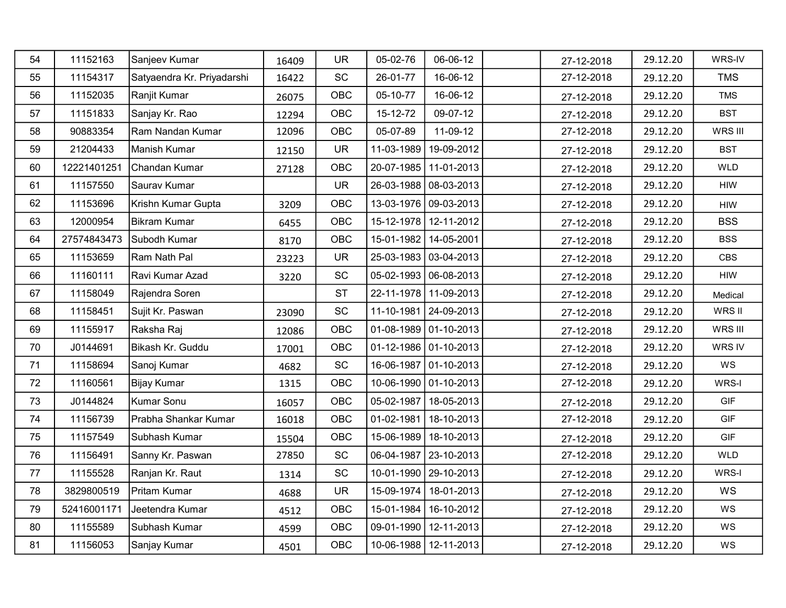| 54 | 11152163    | Sanjeev Kumar              | 16409 | <b>UR</b>                    | 05-02-76         | 06-06-12                    | 27-12-2018 | 29.12.20 | WRS-IV     |
|----|-------------|----------------------------|-------|------------------------------|------------------|-----------------------------|------------|----------|------------|
| 55 | 11154317    | Satyaendra Kr. Priyadarshi | 16422 | <b>SC</b>                    | 26-01-77         | 16-06-12                    | 27-12-2018 | 29.12.20 | <b>TMS</b> |
| 56 | 11152035    | Ranjit Kumar               | 26075 | OBC                          | 05-10-77         | 16-06-12                    | 27-12-2018 | 29.12.20 | <b>TMS</b> |
| 57 | 11151833    | Sanjay Kr. Rao             | 12294 | OBC                          | 15-12-72         | 09-07-12                    | 27-12-2018 | 29.12.20 | <b>BST</b> |
| 58 | 90883354    | Ram Nandan Kumar           | 12096 | <b>OBC</b>                   | 05-07-89         | 11-09-12                    | 27-12-2018 | 29.12.20 | WRS III    |
| 59 | 21204433    | Manish Kumar               | 12150 | <b>UR</b>                    | 11-03-1989       | 19-09-2012                  | 27-12-2018 | 29.12.20 | <b>BST</b> |
| 60 | 12221401251 | Chandan Kumar              | 27128 | OBC                          |                  | 20-07-1985   11-01-2013     | 27-12-2018 | 29.12.20 | WLD        |
| 61 | 11157550    | Saurav Kumar               |       | <b>UR</b>                    |                  | 26-03-1988 08-03-2013       | 27-12-2018 | 29.12.20 | <b>HIW</b> |
| 62 | 11153696    | Krishn Kumar Gupta         | 3209  | OBC                          |                  | 13-03-1976 09-03-2013       | 27-12-2018 | 29.12.20 | <b>HIW</b> |
| 63 | 12000954    | Bikram Kumar               | 6455  | OBC                          |                  | 15-12-1978 12-11-2012       | 27-12-2018 | 29.12.20 | <b>BSS</b> |
| 64 | 27574843473 | Subodh Kumar               | 8170  | OBC                          |                  | 15-01-1982   14-05-2001     | 27-12-2018 | 29.12.20 | <b>BSS</b> |
| 65 | 11153659    | Ram Nath Pal               | 23223 | <b>UR</b>                    |                  | 25-03-1983 03-04-2013       | 27-12-2018 | 29.12.20 | CBS        |
| 66 | 11160111    | Ravi Kumar Azad            | 3220  | SC                           |                  | $05-02-1993$ 06-08-2013     | 27-12-2018 | 29.12.20 | HIW        |
| 67 | 11158049    | Rajendra Soren             |       | <b>ST</b>                    |                  | 22-11-1978 11-09-2013       | 27-12-2018 | 29.12.20 | Medical    |
| 68 | 11158451    | Sujit Kr. Paswan           | 23090 | SC                           |                  | 11-10-1981 24-09-2013       | 27-12-2018 | 29.12.20 | WRS II     |
| 69 | 11155917    | Raksha Raj                 | 12086 | OBC                          |                  | 01-08-1989 01-10-2013       | 27-12-2018 | 29.12.20 | WRS III    |
| 70 | J0144691    | Bikash Kr. Guddu           | 17001 | OBC                          |                  | $01 - 12 - 1986$ 01-10-2013 | 27-12-2018 | 29.12.20 | WRS IV     |
| 71 | 11158694    | Sanoj Kumar                | 4682  | $\operatorname{\textsf{SC}}$ |                  | 16-06-1987 01-10-2013       | 27-12-2018 | 29.12.20 | WS         |
| 72 | 11160561    | Bijay Kumar                | 1315  | OBC                          |                  | 10-06-1990 01-10-2013       | 27-12-2018 | 29.12.20 | WRS-I      |
| 73 | J0144824    | Kumar Sonu                 | 16057 | OBC                          |                  | 05-02-1987   18-05-2013     | 27-12-2018 | 29.12.20 | GIF        |
| 74 | 11156739    | Prabha Shankar Kumar       | 16018 | OBC                          | $01 - 02 - 1981$ | 18-10-2013                  | 27-12-2018 | 29.12.20 | GIF        |
| 75 | 11157549    | Subhash Kumar              | 15504 | OBC                          |                  | 15-06-1989   18-10-2013     | 27-12-2018 | 29.12.20 | <b>GIF</b> |
| 76 | 11156491    | Sanny Kr. Paswan           | 27850 | SC                           |                  | 06-04-1987   23-10-2013     | 27-12-2018 | 29.12.20 | <b>WLD</b> |
| 77 | 11155528    | Ranjan Kr. Raut            | 1314  | $\operatorname{\textsf{SC}}$ |                  | 10-01-1990   29-10-2013     | 27-12-2018 | 29.12.20 | WRS-I      |
| 78 | 3829800519  | Pritam Kumar               | 4688  | <b>UR</b>                    |                  | 15-09-1974   18-01-2013     | 27-12-2018 | 29.12.20 | WS         |
| 79 | 52416001171 | Jeetendra Kumar            | 4512  | OBC                          |                  | 15-01-1984   16-10-2012     | 27-12-2018 | 29.12.20 | WS         |
| 80 | 11155589    | Subhash Kumar              | 4599  | OBC                          |                  | 09-01-1990 12-11-2013       | 27-12-2018 | 29.12.20 | WS         |
| 81 | 11156053    | Sanjay Kumar               | 4501  | OBC                          |                  | 10-06-1988   12-11-2013     | 27-12-2018 | 29.12.20 | WS         |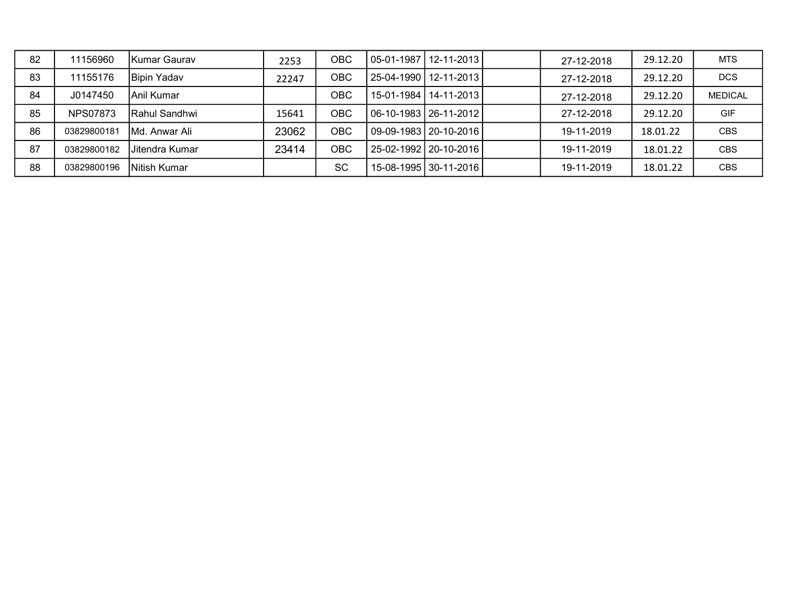| 82 | 11156960        | lKumar Gaurav      | 2253  | OBC       | l 05-01-1987 l 12-11-2013 l | 27-12-2018 | 29.12.20 | <b>MTS</b>     |
|----|-----------------|--------------------|-------|-----------|-----------------------------|------------|----------|----------------|
| 83 | 11155176        | <b>Bipin Yadav</b> | 22247 | ОВС       | l 25-04-1990 l 12-11-2013 l | 27-12-2018 | 29.12.20 | <b>DCS</b>     |
| 84 | J0147450        | lAnil Kumar        |       | ОВС       | 15-01-1984   14-11-2013     | 27-12-2018 | 29.12.20 | <b>MEDICAL</b> |
| 85 | <b>NPS07873</b> | IRahul Sandhwi     | 15641 | ОВС       | 06-10-1983   26-11-2012     | 27-12-2018 | 29.12.20 | <b>GIF</b>     |
| 86 | 03829800181     | Md. Anwar Ali      | 23062 | OBC       | 09-09-1983   20-10-2016     | 19-11-2019 | 18.01.22 | <b>CBS</b>     |
| 87 | 03829800182     | Jitendra Kumar     | 23414 | OBC       | 25-02-1992   20-10-2016     | 19-11-2019 | 18.01.22 | <b>CBS</b>     |
| 88 | 03829800196     | INitish Kumar      |       | <b>SC</b> | 15-08-1995 30-11-2016       | 19-11-2019 | 18.01.22 | <b>CBS</b>     |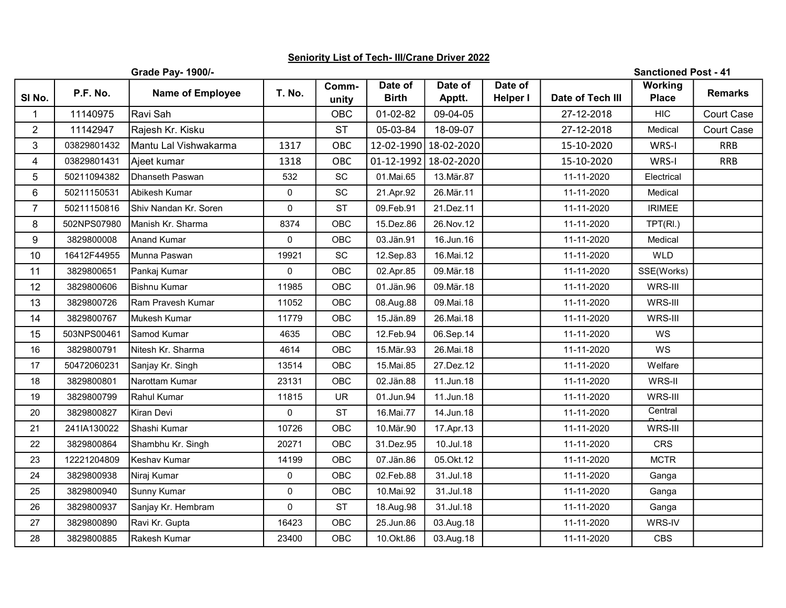## Seniority List of Tech- III/Crane Driver 2022

|                |             | <b>Grade Pay- 1900/-</b> |               |                |                         |                       |                            |                  | <b>Sanctioned Post - 41</b>    |                |
|----------------|-------------|--------------------------|---------------|----------------|-------------------------|-----------------------|----------------------------|------------------|--------------------------------|----------------|
| SI No.         | P.F. No.    | <b>Name of Employee</b>  | <b>T. No.</b> | Comm-<br>unity | Date of<br><b>Birth</b> | Date of<br>Apptt.     | Date of<br><b>Helper I</b> | Date of Tech III | <b>Working</b><br><b>Place</b> | <b>Remarks</b> |
| $\mathbf 1$    | 11140975    | Ravi Sah                 |               | <b>OBC</b>     | 01-02-82                | 09-04-05              |                            | 27-12-2018       | <b>HIC</b>                     | Court Case     |
| $\overline{2}$ | 11142947    | Rajesh Kr. Kisku         |               | <b>ST</b>      | 05-03-84                | 18-09-07              |                            | 27-12-2018       | Medical                        | Court Case     |
| 3              | 03829801432 | Mantu Lal Vishwakarma    | 1317          | OBC            | 12-02-1990              | 18-02-2020            |                            | 15-10-2020       | WRS-I                          | <b>RRB</b>     |
| 4              | 03829801431 | Ajeet kumar              | 1318          | OBC            |                         | 01-12-1992 18-02-2020 |                            | 15-10-2020       | WRS-I                          | <b>RRB</b>     |
| 5              | 50211094382 | Dhanseth Paswan          | 532           | SC             | 01.Mai.65               | 13. Mär. 87           |                            | 11-11-2020       | Electrical                     |                |
| 6              | 50211150531 | Abikesh Kumar            | $\mathbf{0}$  | SC             | 21.Apr.92               | 26.Mär.11             |                            | 11-11-2020       | Medical                        |                |
| $\overline{7}$ | 50211150816 | Shiv Nandan Kr. Soren    | 0             | <b>ST</b>      | 09.Feb.91               | 21.Dez.11             |                            | 11-11-2020       | <b>IRIMEE</b>                  |                |
| 8              | 502NPS07980 | Manish Kr. Sharma        | 8374          | OBC            | 15.Dez.86               | 26. Nov. 12           |                            | 11-11-2020       | TPT(RI.)                       |                |
| 9              | 3829800008  | <b>Anand Kumar</b>       | $\mathbf 0$   | OBC            | 03.Jän.91               | 16.Jun.16             |                            | 11-11-2020       | Medical                        |                |
| 10             | 16412F44955 | Munna Paswan             | 19921         | SC             | 12.Sep.83               | 16.Mai.12             |                            | 11-11-2020       | <b>WLD</b>                     |                |
| 11             | 3829800651  | Pankaj Kumar             | 0             | OBC            | 02.Apr.85               | 09. Mär. 18           |                            | 11-11-2020       | SSE(Works)                     |                |
| 12             | 3829800606  | Bishnu Kumar             | 11985         | OBC            | 01.Jän.96               | 09. Mär. 18           |                            | 11-11-2020       | WRS-III                        |                |
| 13             | 3829800726  | Ram Pravesh Kumar        | 11052         | OBC            | 08.Aug.88               | 09. Mai. 18           |                            | 11-11-2020       | WRS-III                        |                |
| 14             | 3829800767  | Mukesh Kumar             | 11779         | <b>OBC</b>     | 15.Jän.89               | 26.Mai.18             |                            | 11-11-2020       | WRS-III                        |                |
| 15             | 503NPS00461 | Samod Kumar              | 4635          | OBC            | 12.Feb.94               | 06.Sep.14             |                            | 11-11-2020       | WS                             |                |
| 16             | 3829800791  | Nitesh Kr. Sharma        | 4614          | <b>OBC</b>     | 15.Mär.93               | 26.Mai.18             |                            | 11-11-2020       | WS                             |                |
| 17             | 50472060231 | Sanjay Kr. Singh         | 13514         | OBC            | 15.Mai.85               | 27.Dez.12             |                            | 11-11-2020       | Welfare                        |                |
| 18             | 3829800801  | Narottam Kumar           | 23131         | <b>OBC</b>     | 02.Jän.88               | 11.Jun.18             |                            | 11-11-2020       | WRS-II                         |                |
| 19             | 3829800799  | Rahul Kumar              | 11815         | <b>UR</b>      | 01.Jun.94               | 11.Jun.18             |                            | 11-11-2020       | WRS-III                        |                |
| 20             | 3829800827  | Kiran Devi               | 0             | <b>ST</b>      | 16.Mai.77               | 14.Jun.18             |                            | 11-11-2020       | Central                        |                |
| 21             | 241IA130022 | Shashi Kumar             | 10726         | OBC            | 10.Mär.90               | 17.Apr.13             |                            | 11-11-2020       | WRS-III                        |                |
| 22             | 3829800864  | Shambhu Kr. Singh        | 20271         | OBC            | 31.Dez.95               | 10.Jul.18             |                            | 11-11-2020       | <b>CRS</b>                     |                |
| 23             | 12221204809 | Keshav Kumar             | 14199         | <b>OBC</b>     | 07.Jän.86               | 05.Okt.12             |                            | 11-11-2020       | <b>MCTR</b>                    |                |
| 24             | 3829800938  | Niraj Kumar              | 0             | OBC            | 02.Feb.88               | 31.Jul.18             |                            | 11-11-2020       | Ganga                          |                |
| 25             | 3829800940  | Sunny Kumar              | $\mathbf 0$   | OBC            | 10.Mai.92               | 31.Jul.18             |                            | 11-11-2020       | Ganga                          |                |
| 26             | 3829800937  | Sanjay Kr. Hembram       | 0             | <b>ST</b>      | 18.Aug.98               | 31.Jul.18             |                            | 11-11-2020       | Ganga                          |                |
| 27             | 3829800890  | Ravi Kr. Gupta           | 16423         | OBC            | 25.Jun.86               | 03.Aug.18             |                            | 11-11-2020       | WRS-IV                         |                |
| 28             | 3829800885  | Rakesh Kumar             | 23400         | OBC            | 10.Okt.86               | 03.Aug.18             |                            | 11-11-2020       | <b>CBS</b>                     |                |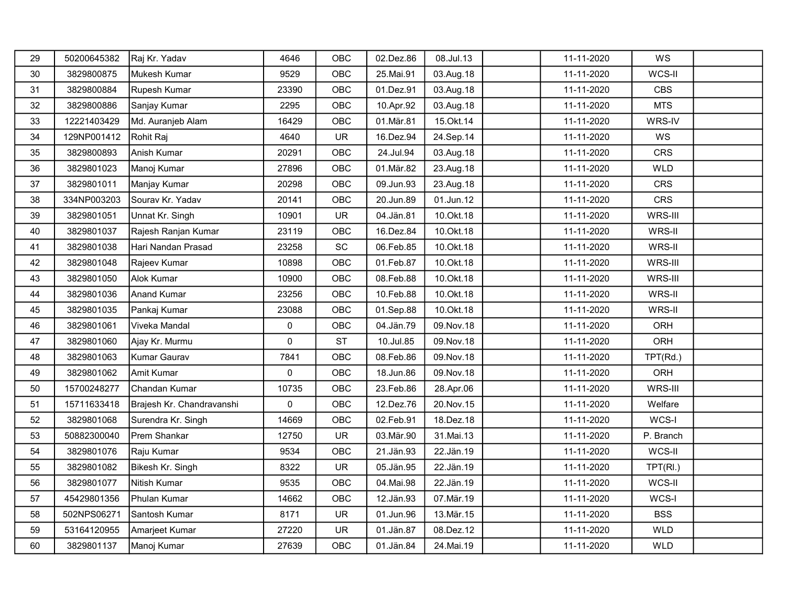| 29 | 50200645382 | Raj Kr. Yadav             | 4646      | OBC        | 02.Dez.86   | 08.Jul.13   | 11-11-2020 | WS         |  |
|----|-------------|---------------------------|-----------|------------|-------------|-------------|------------|------------|--|
| 30 | 3829800875  | Mukesh Kumar              | 9529      | OBC        | 25.Mai.91   | 03.Aug.18   | 11-11-2020 | WCS-II     |  |
| 31 | 3829800884  | Rupesh Kumar              | 23390     | OBC        | 01.Dez.91   | 03.Aug.18   | 11-11-2020 | <b>CBS</b> |  |
| 32 | 3829800886  | Sanjay Kumar              | 2295      | OBC        | 10.Apr.92   | 03.Aug.18   | 11-11-2020 | <b>MTS</b> |  |
| 33 | 12221403429 | Md. Auranjeb Alam         | 16429     | OBC        | 01.Mär.81   | 15. Okt. 14 | 11-11-2020 | WRS-IV     |  |
| 34 | 129NP001412 | Rohit Raj                 | 4640      | <b>UR</b>  | 16.Dez.94   | 24.Sep.14   | 11-11-2020 | WS         |  |
| 35 | 3829800893  | Anish Kumar               | 20291     | OBC        | 24.Jul.94   | 03.Aug.18   | 11-11-2020 | <b>CRS</b> |  |
| 36 | 3829801023  | Manoj Kumar               | 27896     | OBC        | 01.Mär.82   | 23.Aug.18   | 11-11-2020 | <b>WLD</b> |  |
| 37 | 3829801011  | Manjay Kumar              | 20298     | <b>OBC</b> | 09.Jun.93   | 23.Aug.18   | 11-11-2020 | <b>CRS</b> |  |
| 38 | 334NP003203 | Sourav Kr. Yadav          | 20141     | OBC        | 20.Jun.89   | 01.Jun.12   | 11-11-2020 | CRS        |  |
| 39 | 3829801051  | Unnat Kr. Singh           | 10901     | <b>UR</b>  | 04.Jän.81   | 10.0kt.18   | 11-11-2020 | WRS-III    |  |
| 40 | 3829801037  | Rajesh Ranjan Kumar       | 23119     | OBC        | 16.Dez.84   | 10.Okt.18   | 11-11-2020 | WRS-II     |  |
| 41 | 3829801038  | Hari Nandan Prasad        | 23258     | SC         | 06.Feb.85   | 10.Okt.18   | 11-11-2020 | WRS-II     |  |
| 42 | 3829801048  | Rajeev Kumar              | 10898     | OBC        | 01.Feb.87   | 10. Okt. 18 | 11-11-2020 | WRS-III    |  |
| 43 | 3829801050  | Alok Kumar                | 10900     | OBC        | 08.Feb.88   | 10.0kt.18   | 11-11-2020 | WRS-III    |  |
| 44 | 3829801036  | Anand Kumar               | 23256     | OBC        | 10.Feb.88   | 10.0kt.18   | 11-11-2020 | WRS-II     |  |
| 45 | 3829801035  | Pankaj Kumar              | 23088     | OBC        | 01.Sep.88   | 10.0kt.18   | 11-11-2020 | WRS-II     |  |
| 46 | 3829801061  | Viveka Mandal             | 0         | OBC        | 04.Jän.79   | 09. Nov. 18 | 11-11-2020 | ORH        |  |
| 47 | 3829801060  | Ajay Kr. Murmu            | $\pmb{0}$ | <b>ST</b>  | 10.Jul.85   | 09. Nov. 18 | 11-11-2020 | ORH        |  |
| 48 | 3829801063  | Kumar Gaurav              | 7841      | OBC        | 08.Feb.86   | 09. Nov. 18 | 11-11-2020 | TPT(Rd.)   |  |
| 49 | 3829801062  | Amit Kumar                | $\pmb{0}$ | OBC        | 18.Jun.86   | 09. Nov. 18 | 11-11-2020 | ORH        |  |
| 50 | 15700248277 | Chandan Kumar             | 10735     | OBC        | 23.Feb.86   | 28.Apr.06   | 11-11-2020 | WRS-III    |  |
| 51 | 15711633418 | Brajesh Kr. Chandravanshi | $\pmb{0}$ | OBC        | 12.Dez.76   | 20. Nov. 15 | 11-11-2020 | Welfare    |  |
| 52 | 3829801068  | Surendra Kr. Singh        | 14669     | OBC        | 02.Feb.91   | 18.Dez.18   | 11-11-2020 | WCS-I      |  |
| 53 | 50882300040 | Prem Shankar              | 12750     | <b>UR</b>  | 03.Mär.90   | 31.Mai.13   | 11-11-2020 | P. Branch  |  |
| 54 | 3829801076  | Raju Kumar                | 9534      | OBC        | 21.Jän.93   | 22.Jän.19   | 11-11-2020 | WCS-II     |  |
| 55 | 3829801082  | Bikesh Kr. Singh          | 8322      | <b>UR</b>  | 05.Jän.95   | 22.Jän.19   | 11-11-2020 | TPT(RI.)   |  |
| 56 | 3829801077  | Nitish Kumar              | 9535      | OBC        | 04. Mai. 98 | 22.Jän.19   | 11-11-2020 | WCS-II     |  |
| 57 | 45429801356 | Phulan Kumar              | 14662     | OBC        | 12.Jän.93   | 07. Mär. 19 | 11-11-2020 | WCS-I      |  |
| 58 | 502NPS06271 | Santosh Kumar             | 8171      | <b>UR</b>  | 01.Jun.96   | 13. Mär. 15 | 11-11-2020 | <b>BSS</b> |  |
| 59 | 53164120955 | Amarjeet Kumar            | 27220     | UR         | 01.Jän.87   | 08.Dez.12   | 11-11-2020 | WLD        |  |
| 60 | 3829801137  | Manoj Kumar               | 27639     | OBC        | 01.Jän.84   | 24. Mai. 19 | 11-11-2020 | <b>WLD</b> |  |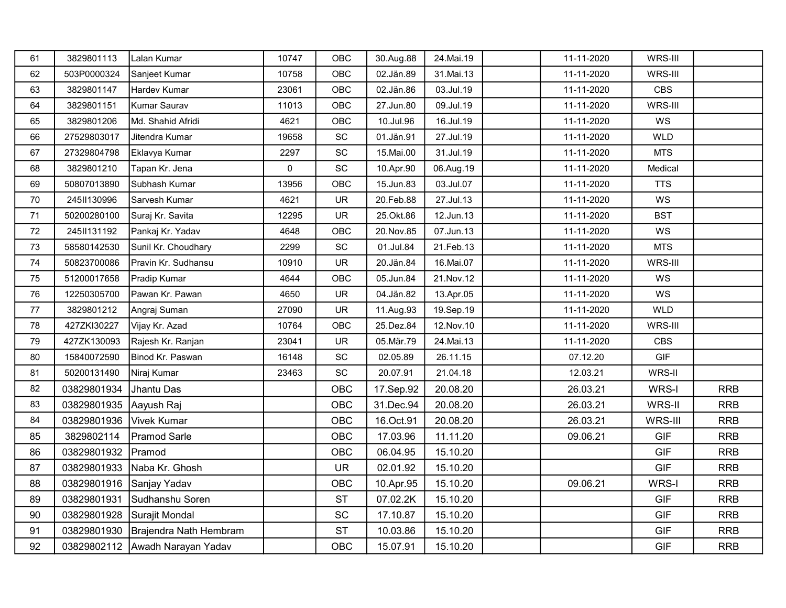| 61     | 3829801113                   | Lalan Kumar                          | 10747     | OBC                          | 30.Aug.88   | 24. Mai. 19 | 11-11-2020 | WRS-III    |            |
|--------|------------------------------|--------------------------------------|-----------|------------------------------|-------------|-------------|------------|------------|------------|
| 62     | 503P0000324                  | Sanjeet Kumar                        | 10758     | OBC                          | 02.Jän.89   | 31.Mai.13   | 11-11-2020 | WRS-III    |            |
| 63     | 3829801147                   | Hardev Kumar                         | 23061     | OBC                          | 02.Jän.86   | 03.Jul.19   | 11-11-2020 | <b>CBS</b> |            |
| 64     | 3829801151                   | Kumar Saurav                         | 11013     | OBC                          | 27.Jun.80   | 09.Jul.19   | 11-11-2020 | WRS-III    |            |
| 65     | 3829801206                   | Md. Shahid Afridi                    | 4621      | OBC                          | 10.Jul.96   | 16.Jul.19   | 11-11-2020 | WS         |            |
| 66     | 27529803017                  | Jitendra Kumar                       | 19658     | SC                           | 01.Jän.91   | 27.Jul.19   | 11-11-2020 | <b>WLD</b> |            |
| 67     | 27329804798                  | Eklavya Kumar                        | 2297      | $\operatorname{\textsf{SC}}$ | 15.Mai.00   | 31.Jul.19   | 11-11-2020 | <b>MTS</b> |            |
| 68     | 3829801210                   | Tapan Kr. Jena                       | $\pmb{0}$ | SC                           | 10.Apr.90   | 06.Aug.19   | 11-11-2020 | Medical    |            |
| 69     | 50807013890                  | Subhash Kumar                        | 13956     | OBC                          | 15.Jun.83   | 03.Jul.07   | 11-11-2020 | <b>TTS</b> |            |
| 70     | 245II130996                  | Sarvesh Kumar                        | 4621      | <b>UR</b>                    | 20.Feb.88   | 27.Jul.13   | 11-11-2020 | WS         |            |
| 71     | 50200280100                  | Suraj Kr. Savita                     | 12295     | UR                           | 25.Okt.86   | 12.Jun.13   | 11-11-2020 | <b>BST</b> |            |
| 72     | 245II131192                  | Pankaj Kr. Yadav                     | 4648      | OBC                          | 20. Nov. 85 | 07.Jun.13   | 11-11-2020 | WS         |            |
| 73     | 58580142530                  | Sunil Kr. Choudhary                  | 2299      | $\protect\operatorname{SC}$  | 01.Jul.84   | 21.Feb.13   | 11-11-2020 | <b>MTS</b> |            |
| 74     | 50823700086                  | Pravin Kr. Sudhansu                  | 10910     | <b>UR</b>                    | 20.Jän.84   | 16.Mai.07   | 11-11-2020 | WRS-III    |            |
| 75     | 51200017658                  | Pradip Kumar                         | 4644      | OBC                          | 05.Jun.84   | 21. Nov. 12 | 11-11-2020 | WS         |            |
| 76     | 12250305700                  | Pawan Kr. Pawan                      | 4650      | <b>UR</b>                    | 04.Jän.82   | 13.Apr.05   | 11-11-2020 | WS         |            |
| $77\,$ | 3829801212                   | Angraj Suman                         | 27090     | <b>UR</b>                    | 11.Aug.93   | 19.Sep.19   | 11-11-2020 | <b>WLD</b> |            |
| 78     | 427ZKI30227                  | Vijay Kr. Azad                       | 10764     | <b>OBC</b>                   | 25.Dez.84   | 12. Nov. 10 | 11-11-2020 | WRS-III    |            |
| 79     | 427ZK130093                  | Rajesh Kr. Ranjan                    | 23041     | <b>UR</b>                    | 05.Mär.79   | 24. Mai. 13 | 11-11-2020 | <b>CBS</b> |            |
| 80     | 15840072590                  | Binod Kr. Paswan                     | 16148     | SC                           | 02.05.89    | 26.11.15    | 07.12.20   | <b>GIF</b> |            |
| 81     | 50200131490                  | Niraj Kumar                          | 23463     | SC                           | 20.07.91    | 21.04.18    | 12.03.21   | WRS-II     |            |
| 82     | 03829801934                  | Jhantu Das                           |           | <b>OBC</b>                   | 17.Sep.92   | 20.08.20    | 26.03.21   | WRS-I      | <b>RRB</b> |
| 83     | 03829801935 Aayush Raj       |                                      |           | OBC                          | 31.Dec.94   | 20.08.20    | 26.03.21   | WRS-II     | <b>RRB</b> |
| 84     | 03829801936   Vivek Kumar    |                                      |           | <b>OBC</b>                   | 16.Oct.91   | 20.08.20    | 26.03.21   | WRS-III    | <b>RRB</b> |
| 85     | 3829802114                   | Pramod Sarle                         |           | <b>OBC</b>                   | 17.03.96    | 11.11.20    | 09.06.21   | <b>GIF</b> | <b>RRB</b> |
| 86     | 03829801932                  | Pramod                               |           | <b>OBC</b>                   | 06.04.95    | 15.10.20    |            | <b>GIF</b> | <b>RRB</b> |
| 87     |                              | 03829801933   Naba Kr. Ghosh         |           | <b>UR</b>                    | 02.01.92    | 15.10.20    |            | <b>GIF</b> | <b>RRB</b> |
| 88     | 03829801916 Sanjay Yadav     |                                      |           | OBC                          | 10.Apr.95   | 15.10.20    | 09.06.21   | WRS-I      | <b>RRB</b> |
| 89     | 03829801931                  | Sudhanshu Soren                      |           | <b>ST</b>                    | 07.02.2K    | 15.10.20    |            | <b>GIF</b> | <b>RRB</b> |
| 90     | 03829801928   Surajit Mondal |                                      |           | SC                           | 17.10.87    | 15.10.20    |            | <b>GIF</b> | <b>RRB</b> |
| 91     |                              | 03829801930   Brajendra Nath Hembram |           | <b>ST</b>                    | 10.03.86    | 15.10.20    |            | <b>GIF</b> | <b>RRB</b> |
| 92     |                              | 03829802112 Awadh Narayan Yadav      |           | <b>OBC</b>                   | 15.07.91    | 15.10.20    |            | <b>GIF</b> | <b>RRB</b> |